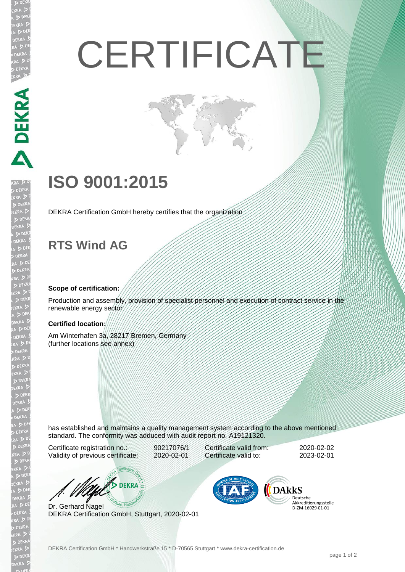# **CERTIFICATE**

## **ISO 9001:2015**

DEKRA Certification GmbH hereby certifies that the organization

### **RTS Wind AG**

**MANERS** 

#### **Scope of certification:**

Production and assembly, provision of specialist personnel and execution of contract service in the renewable energy sector

#### **Certified location:**

Am Winterhafen 3a, 28217 Bremen, Germany (further locations see annex)

has established and maintains a quality management system according to the above mentioned standard. The conformity was adduced with audit report no. A19121320.

Certificate registration no.: 90217076/1 Validity of previous certificate: 2020-02-01

Certificate valid from: 2020-02-02 Certificate valid to: 2023-02-01

**DEKRA** 

Dr. Gerhard Nagel DEKRA Certification GmbH, Stuttgart, 2020-02-01



Deutsche Akkreditierungsstelle